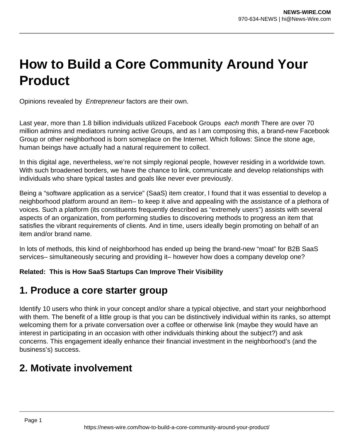# **How to Build a Core Community Around Your Product**

Opinions revealed by Entrepreneur factors are their own.

Last year, more than 1.8 billion individuals utilized Facebook Groups each month There are over 70 million admins and mediators running active Groups, and as I am composing this, a brand-new Facebook Group or other neighborhood is born someplace on the Internet. Which follows: Since the stone age, human beings have actually had a natural requirement to collect.

In this digital age, nevertheless, we're not simply regional people, however residing in a worldwide town. With such broadened borders, we have the chance to link, communicate and develop relationships with individuals who share typical tastes and goals like never ever previously.

Being a "software application as a service" (SaaS) item creator, I found that it was essential to develop a neighborhood platform around an item– to keep it alive and appealing with the assistance of a plethora of voices. Such a platform (its constituents frequently described as "extremely users") assists with several aspects of an organization, from performing studies to discovering methods to progress an item that satisfies the vibrant requirements of clients. And in time, users ideally begin promoting on behalf of an item and/or brand name.

In lots of methods, this kind of neighborhood has ended up being the brand-new "moat" for B2B SaaS services– simultaneously securing and providing it– however how does a company develop one?

**Related: This is How SaaS Startups Can Improve Their Visibility**

# **1. Produce a core starter group**

Identify 10 users who think in your concept and/or share a typical objective, and start your neighborhood with them. The benefit of a little group is that you can be distinctively individual within its ranks, so attempt welcoming them for a private conversation over a coffee or otherwise link (maybe they would have an interest in participating in an occasion with other individuals thinking about the subject?) and ask concerns. This engagement ideally enhance their financial investment in the neighborhood's (and the business's) success.

# **2. Motivate involvement**